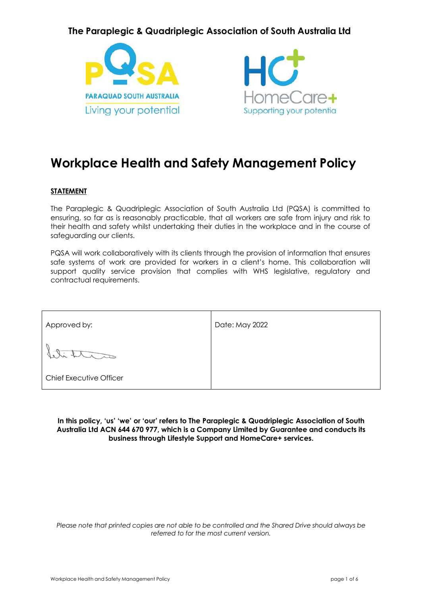# **The Paraplegic & Quadriplegic Association of South Australia Ltd**





# **Workplace Health and Safety Management Policy**

#### **STATEMENT**

The Paraplegic & Quadriplegic Association of South Australia Ltd (PQSA) is committed to ensuring, so far as is reasonably practicable, that all workers are safe from injury and risk to their health and safety whilst undertaking their duties in the workplace and in the course of safeguarding our clients.

PQSA will work collaboratively with its clients through the provision of information that ensures safe systems of work are provided for workers in a client's home. This collaboration will support quality service provision that complies with WHS legislative, regulatory and contractual requirements.

| Approved by:                   | Date: May 2022 |
|--------------------------------|----------------|
|                                |                |
| <b>Chief Executive Officer</b> |                |

**In this policy, 'us' 'we' or 'our' refers to The Paraplegic & Quadriplegic Association of South Australia Ltd ACN 644 670 977, which is a Company Limited by Guarantee and conducts its business through Lifestyle Support and HomeCare+ services.**

*Please note that printed copies are not able to be controlled and the Shared Drive should always be referred to for the most current version.*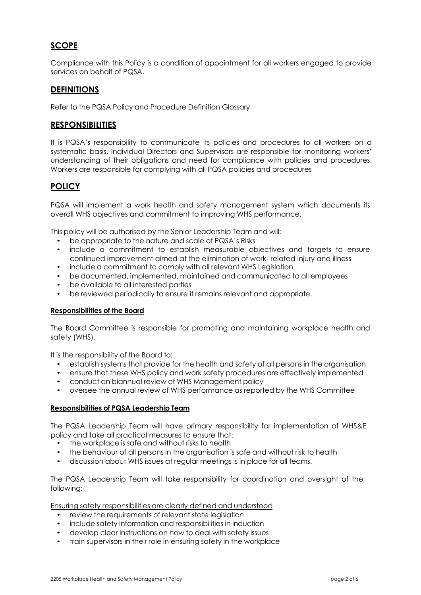# **SCOPE**

Compliance with this Policy is a condition of appointment for all workers engaged to provide services on behalf of PQSA.

# **DEFINITIONS**

Refer to the PQSA Policy and Procedure Definition Glossary

## **RESPONSIBILITIES**

It is PQSA's responsibility to communicate its policies and procedures to all workers on a systematic basis. Individual Directors and Supervisors are responsible for monitoring workers' understanding of their obligations and need for compliance with policies and procedures. Workers are responsible for complying with all PQSA policies and procedures

# **POLICY**

PQSA will implement a work health and safety management system which documents its overall WHS objectives and commitment to improving WHS performance.

This policy will be authorised by the Senior Leadership Team and will:

- be appropriate to the nature and scale of PQSA's Risks
- include a commitment to establish measurable objectives and targets to ensure continued improvement aimed at the elimination of work- related injury and illness
- include a commitment to comply with all relevant WHS Legislation
- be documented, implemented, maintained and communicated to all employees
- be available to all interested parties
- be reviewed periodically to ensure it remains relevant and appropriate.

#### **Responsibilities of the Board**

The Board Committee is responsible for promoting and maintaining workplace health and safety (WHS).

It is the responsibility of the Board to:

- establish systems that provide for the health and safety of all persons in the organisation
- ensure that these WHS policy and work safety procedures are effectively implemented
- conduct an biannual review of WHS Management policy
- oversee the annual review of WHS performance as reported by the WHS Committee

#### **Responsibilities of PQSA Leadership Team**

The PQSA Leadership Team will have primary responsibility for implementation of WHS&E policy and take all practical measures to ensure that:

- the workplace is safe and without risks to health
- the behaviour of all persons in the organisation is safe and without risk to health
- discussion about WHS issues at regular meetings is in place for all teams.

The PQSA Leadership Team will take responsibility for coordination and oversight of the following:

Ensuring safety responsibilities are clearly defined and understood

- review the requirements of relevant state legislation
- include safety information and responsibilities in induction
- develop clear instructions on how to deal with safety issues
- train supervisors in their role in ensuring safety in the workplace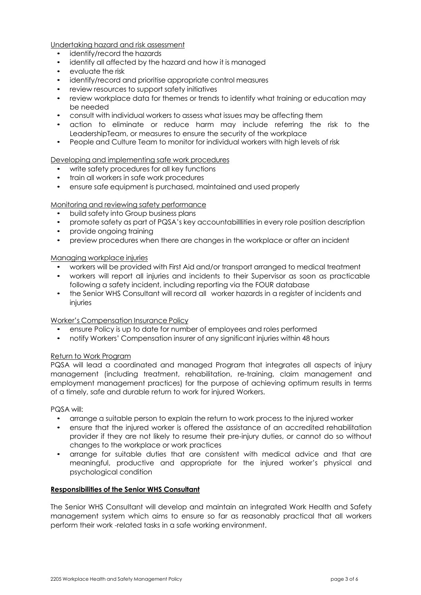Undertaking hazard and risk assessment

- identify/record the hazards
- identify all affected by the hazard and how it is managed
- evaluate the risk
- identify/record and prioritise appropriate control measures
- review resources to support safety initiatives
- review workplace data for themes or trends to identify what training or education may be needed
- consult with individual workers to assess what issues may be affecting them
- action to eliminate or reduce harm may include referring the risk to the LeadershipTeam, or measures to ensure the security of the workplace
- People and Culture Team to monitor for individual workers with high levels of risk

#### Developing and implementing safe work procedures

- write safety procedures for all key functions
- train all workers in safe work procedures
- ensure safe equipment is purchased, maintained and used properly

#### Monitoring and reviewing safety performance

- build safety into Group business plans
- promote safety as part of PQSA's key accountabilllities in every role position description
- provide ongoing training
- preview procedures when there are changes in the workplace or after an incident

#### Managing workplace injuries

- workers will be provided with First Aid and/or transport arranged to medical treatment
- workers will report all injuries and incidents to their Supervisor as soon as practicable following a safety incident, including reporting via the FOUR database
- the Senior WHS Consultant will record all worker hazards in a register of incidents and injuries

#### Worker's Compensation Insurance Policy

- ensure Policy is up to date for number of employees and roles performed
- notify Workers' Compensation insurer of any significant injuries within 48 hours

#### Return to Work Program

PQSA will lead a coordinated and managed Program that integrates all aspects of injury management (including treatment, rehabilitation, re-training, claim management and employment management practices) for the purpose of achieving optimum results in terms of a timely, safe and durable return to work for injured Workers.

#### PQSA will:

- arrange a suitable person to explain the return to work process to the injured worker
- ensure that the injured worker is offered the assistance of an accredited rehabilitation provider if they are not likely to resume their pre-injury duties, or cannot do so without changes to the workplace or work practices
- arrange for suitable duties that are consistent with medical advice and that are meaningful, productive and appropriate for the injured worker's physical and psychological condition

#### **Responsibilities of the Senior WHS Consultant**

The Senior WHS Consultant will develop and maintain an integrated Work Health and Safety management system which aims to ensure so far as reasonably practical that all workers perform their work -related tasks in a safe working environment.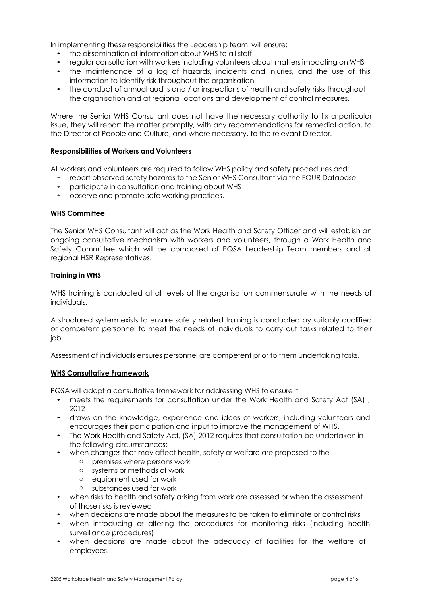In implementing these responsibilities the Leadership team will ensure:

- the dissemination of information about WHS to all staff
- regular consultation with workers including volunteers about matters impacting on WHS
- the maintenance of a log of hazards, incidents and injuries, and the use of this information to identify risk throughout the organisation
- the conduct of annual audits and / or inspections of health and safety risks throughout the organisation and at regional locations and development of control measures.

Where the Senior WHS Consultant does not have the necessary authority to fix a particular issue, they will report the matter promptly, with any recommendations for remedial action, to the Director of People and Culture, and where necessary, to the relevant Director.

#### **Responsibilities of Workers and Volunteers**

All workers and volunteers are required to follow WHS policy and safety procedures and:

- report observed safety hazards to the Senior WHS Consultant via the FOUR Database
- participate in consultation and training about WHS
- observe and promote safe working practices.

#### **WHS Committee**

The Senior WHS Consultant will act as the Work Health and Safety Officer and will establish an ongoing consultative mechanism with workers and volunteers, through a Work Health and Safety Committee which will be composed of PQSA Leadership Team members and all regional HSR Representatives.

#### **Training in WHS**

WHS training is conducted at all levels of the organisation commensurate with the needs of individuals.

A structured system exists to ensure safety related training is conducted by suitably qualified or competent personnel to meet the needs of individuals to carry out tasks related to their job.

Assessment of individuals ensures personnel are competent prior to them undertaking tasks.

#### **WHS Consultative Framework**

PQSA will adopt a consultative framework for addressing WHS to ensure it:

- meets the requirements for consultation under the Work Health and Safety Act (SA), 2012
- draws on the knowledge, experience and ideas of workers, including volunteers and encourages their participation and input to improve the management of WHS.
- The Work Health and Safety Act, (SA) 2012 requires that consultation be undertaken in the following circumstances:
- when changes that may affect health, safety or welfare are proposed to the
	- o premises where persons work
	- o systems or methods of work
	- o equipment used for work
	- o substances used for work
- when risks to health and safety arising from work are assessed or when the assessment of those risks is reviewed
- when decisions are made about the measures to be taken to eliminate or control risks
- when introducing or altering the procedures for monitoring risks (including health surveillance procedures)
- when decisions are made about the adequacy of facilities for the welfare of employees.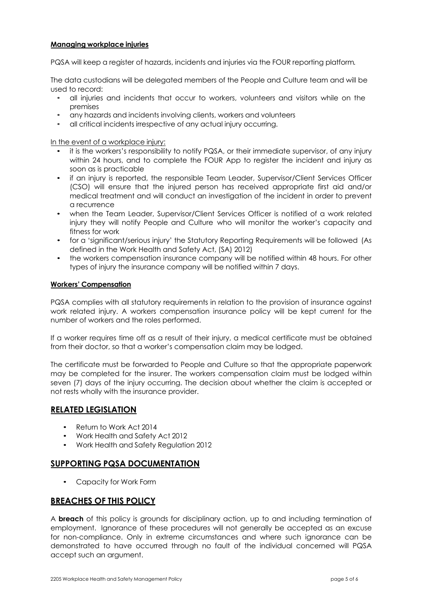#### **Managing workplace injuries**

PQSA will keep a register of hazards, incidents and injuries via the FOUR reporting platform*.*

The data custodians will be delegated members of the People and Culture team and will be used to record:

- all injuries and incidents that occur to workers, volunteers and visitors while on the premises
- any hazards and incidents involving clients, workers and volunteers
- all critical incidents irrespective of any actual injury occurring.

In the event of a workplace injury:

- it is the workers's responsibility to notify PQSA, or their immediate supervisor, of any injury within 24 hours, and to complete the FOUR App to register the incident and injury as soon as is practicable
- if an injury is reported, the responsible Team Leader, Supervisor/Client Services Officer (CSO) will ensure that the injured person has received appropriate first aid and/or medical treatment and will conduct an investigation of the incident in order to prevent a recurrence
- when the Team Leader, Supervisor/Client Services Officer is notified of a work related injury they will notify People and Culture who will monitor the worker's capacity and fitness for work
- for a 'significant/serious injury' the Statutory Reporting Requirements will be followed (As defined in the Work Health and Safety Act, (SA) 2012)
- the workers compensation insurance company will be notified within 48 hours. For other types of injury the insurance company will be notified within 7 days.

#### **Workers' Compensation**

PQSA complies with all statutory requirements in relation to the provision of insurance against work related injury. A workers compensation insurance policy will be kept current for the number of workers and the roles performed.

If a worker requires time off as a result of their injury, a medical certificate must be obtained from their doctor, so that a worker's compensation claim may be lodged.

The certificate must be forwarded to People and Culture so that the appropriate paperwork may be completed for the insurer. The workers compensation claim must be lodged within seven (7) days of the injury occurring. The decision about whether the claim is accepted or not rests wholly with the insurance provider.

# **RELATED LEGISLATION**

- Return to Work Act 2014
- Work Health and Safety Act 2012
- Work Health and Safety Regulation 2012

## **SUPPORTING PQSA DOCUMENTATION**

• Capacity for Work Form

## **BREACHES OF THIS POLICY**

A **breach** of this policy is grounds for disciplinary action, up to and including termination of employment. Ignorance of these procedures will not generally be accepted as an excuse for non-compliance. Only in extreme circumstances and where such ignorance can be demonstrated to have occurred through no fault of the individual concerned will PQSA accept such an argument.